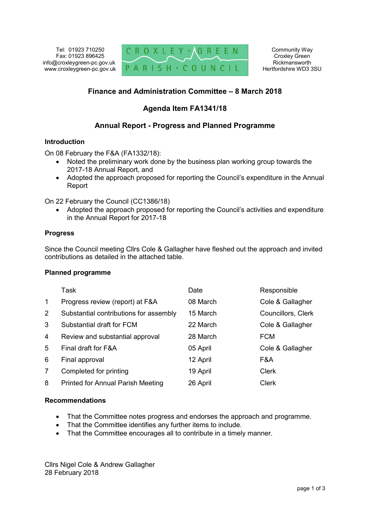

## **Finance and Administration Committee – 8 March 2018**

## **Agenda Item FA1341/18**

## **Annual Report - Progress and Planned Programme**

#### **Introduction**

On 08 February the F&A (FA1332/18):

- Noted the preliminary work done by the business plan working group towards the 2017-18 Annual Report, and
- Adopted the approach proposed for reporting the Council's expenditure in the Annual Report

On 22 February the Council (CC1386/18)

 Adopted the approach proposed for reporting the Council's activities and expenditure in the Annual Report for 2017-18

### **Progress**

Since the Council meeting Cllrs Cole & Gallagher have fleshed out the approach and invited contributions as detailed in the attached table.

#### **Planned programme**

|                       | Task                                     | Date     | Responsible        |
|-----------------------|------------------------------------------|----------|--------------------|
| $\mathbf 1$           | Progress review (report) at F&A          | 08 March | Cole & Gallagher   |
| $\mathbf{2}^{\prime}$ | Substantial contributions for assembly   | 15 March | Councillors, Clerk |
| 3                     | Substantial draft for FCM                | 22 March | Cole & Gallagher   |
| 4                     | Review and substantial approval          | 28 March | <b>FCM</b>         |
| 5                     | Final draft for F&A                      | 05 April | Cole & Gallagher   |
| 6                     | Final approval                           | 12 April | F&A                |
| 7                     | Completed for printing                   | 19 April | <b>Clerk</b>       |
| 8                     | <b>Printed for Annual Parish Meeting</b> | 26 April | <b>Clerk</b>       |

### **Recommendations**

- That the Committee notes progress and endorses the approach and programme.
- That the Committee identifies any further items to include.
- That the Committee encourages all to contribute in a timely manner.

Cllrs Nigel Cole & Andrew Gallagher 28 February 2018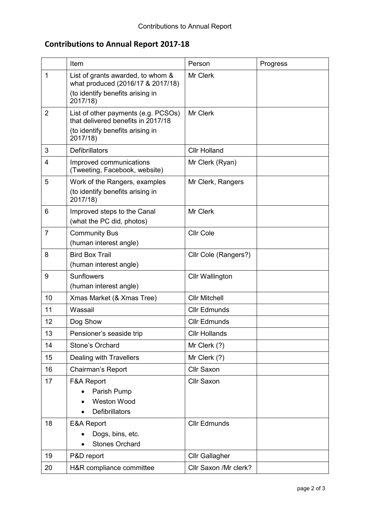# **Contributions to Annual Report 2017-18**

|                | Item                                                                                                                      | Person                 | Progress |
|----------------|---------------------------------------------------------------------------------------------------------------------------|------------------------|----------|
| 1              | List of grants awarded, to whom &<br>what produced (2016/17 & 2017/18)<br>(to identify benefits arising in<br>2017/18)    | Mr Clerk               |          |
| 2              | List of other payments (e.g. PCSOs)<br>that delivered benefits in 2017/18<br>(to identify benefits arising in<br>2017/18) | Mr Clerk               |          |
| 3              | <b>Defibrillators</b>                                                                                                     | <b>Cllr Holland</b>    |          |
| 4              | Improved communications<br>(Tweeting, Facebook, website)                                                                  | Mr Clerk (Ryan)        |          |
| 5              | Work of the Rangers, examples<br>(to identify benefits arising in<br>2017/18)                                             | Mr Clerk, Rangers      |          |
| 6              | Improved steps to the Canal<br>(what the PC did, photos)                                                                  | Mr Clerk               |          |
| $\overline{7}$ | <b>Community Bus</b><br>(human interest angle)                                                                            | <b>Cllr Cole</b>       |          |
| 8              | <b>Bird Box Trail</b><br>(human interest angle)                                                                           | Cllr Cole (Rangers?)   |          |
| 9              | <b>Sunflowers</b><br>(human interest angle)                                                                               | <b>Cllr Wallington</b> |          |
| 10             | Xmas Market (& Xmas Tree)                                                                                                 | <b>Cllr Mitchell</b>   |          |
| 11             | Wassail                                                                                                                   | <b>Cllr Edmunds</b>    |          |
| 12             | Dog Show                                                                                                                  | <b>Cllr Edmunds</b>    |          |
| 13             | Pensioner's seaside trip                                                                                                  | <b>Cllr Hollands</b>   |          |
| 14             | Stone's Orchard                                                                                                           | Mr Clerk (?)           |          |
| 15             | <b>Dealing with Travellers</b>                                                                                            | Mr Clerk (?)           |          |
| 16             | Chairman's Report                                                                                                         | Cllr Saxon             |          |
| 17             | F&A Report<br>Parish Pump<br><b>Weston Wood</b><br>Defibrillators                                                         | <b>Cllr Saxon</b>      |          |
| 18             | E&A Report<br>Dogs, bins, etc.<br><b>Stones Orchard</b>                                                                   | <b>Cllr Edmunds</b>    |          |
| 19             | P&D report                                                                                                                | <b>Cllr Gallagher</b>  |          |
| 20             | H&R compliance committee                                                                                                  | Cllr Saxon /Mr clerk?  |          |